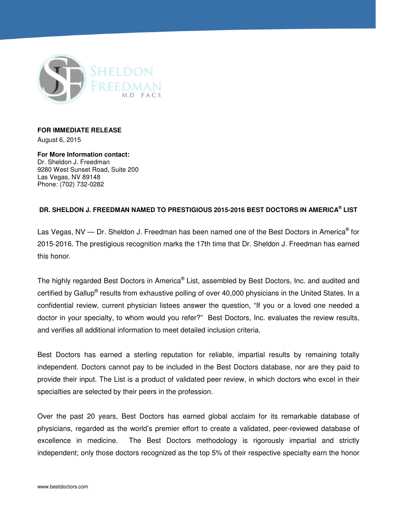

## **FOR IMMEDIATE RELEASE**

August 6, 2015

**For More Information contact:**  Dr. Sheldon J. Freedman 9280 West Sunset Road, Suite 200 Las Vegas, NV 89148 Phone: (702) 732-0282

## **DR. SHELDON J. FREEDMAN NAMED TO PRESTIGIOUS 2015-2016 BEST DOCTORS IN AMERICA® LIST**

Las Vegas, NV — Dr. Sheldon J. Freedman has been named one of the Best Doctors in America® for 2015-2016. The prestigious recognition marks the 17th time that Dr. Sheldon J. Freedman has earned this honor.

The highly regarded Best Doctors in America® List, assembled by Best Doctors, Inc. and audited and certified by Gallup® results from exhaustive polling of over 40,000 physicians in the United States. In a confidential review, current physician listees answer the question, "If you or a loved one needed a doctor in your specialty, to whom would you refer?" Best Doctors, Inc. evaluates the review results, and verifies all additional information to meet detailed inclusion criteria.

Best Doctors has earned a sterling reputation for reliable, impartial results by remaining totally independent. Doctors cannot pay to be included in the Best Doctors database, nor are they paid to provide their input. The List is a product of validated peer review, in which doctors who excel in their specialties are selected by their peers in the profession.

Over the past 20 years, Best Doctors has earned global acclaim for its remarkable database of physicians, regarded as the world's premier effort to create a validated, peer-reviewed database of excellence in medicine. The Best Doctors methodology is rigorously impartial and strictly independent; only those doctors recognized as the top 5% of their respective specialty earn the honor